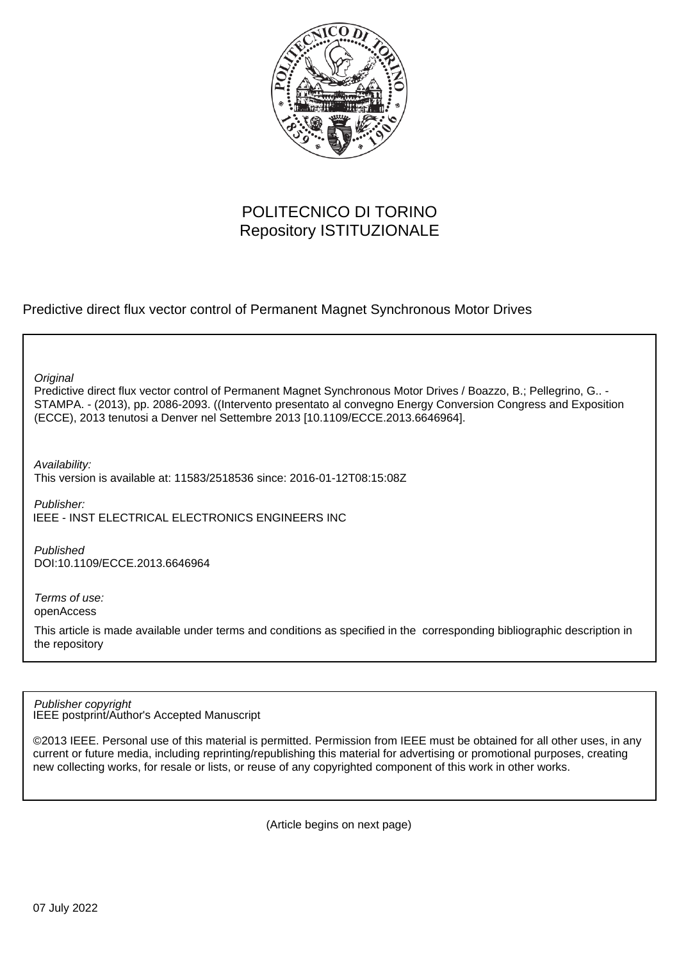

# POLITECNICO DI TORINO Repository ISTITUZIONALE

Predictive direct flux vector control of Permanent Magnet Synchronous Motor Drives

**Original** 

Predictive direct flux vector control of Permanent Magnet Synchronous Motor Drives / Boazzo, B.; Pellegrino, G.. - STAMPA. - (2013), pp. 2086-2093. ((Intervento presentato al convegno Energy Conversion Congress and Exposition (ECCE), 2013 tenutosi a Denver nel Settembre 2013 [10.1109/ECCE.2013.6646964].

Availability:

This version is available at: 11583/2518536 since: 2016-01-12T08:15:08Z

Publisher: IEEE - INST ELECTRICAL ELECTRONICS ENGINEERS INC

Published DOI:10.1109/ECCE.2013.6646964

Terms of use: openAccess

This article is made available under terms and conditions as specified in the corresponding bibliographic description in the repository

IEEE postprint/Author's Accepted Manuscript Publisher copyright

©2013 IEEE. Personal use of this material is permitted. Permission from IEEE must be obtained for all other uses, in any current or future media, including reprinting/republishing this material for advertising or promotional purposes, creating new collecting works, for resale or lists, or reuse of any copyrighted component of this work in other works.

(Article begins on next page)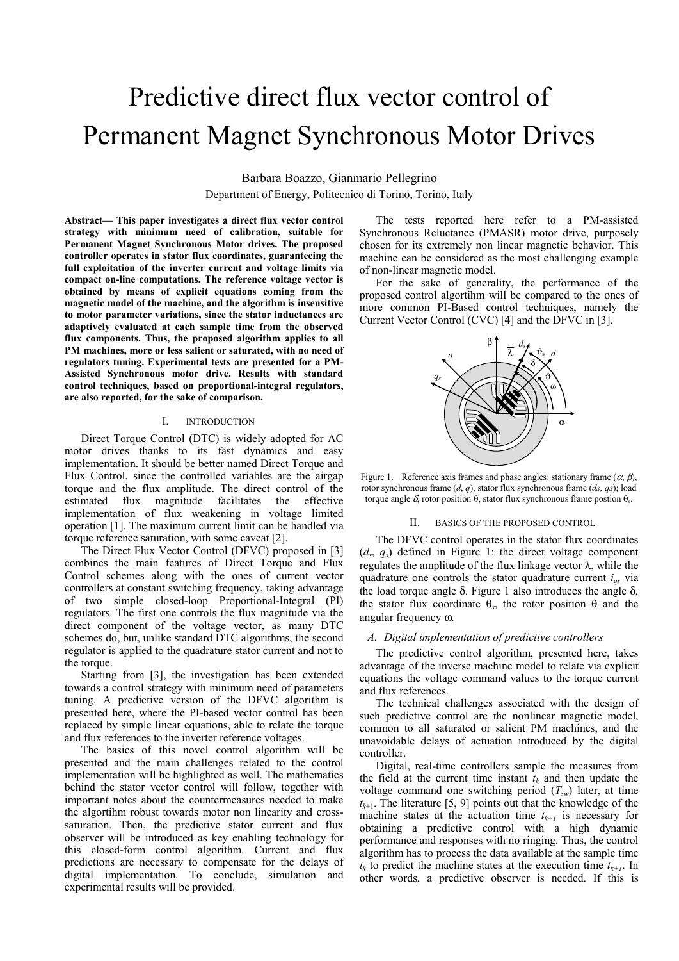# Predictive direct flux vector control of Permanent Magnet Synchronous Motor Drives

Barbara Boazzo, Gianmario Pellegrino Department of Energy, Politecnico di Torino, Torino, Italy

**Abstract— This paper investigates a direct flux vector control strategy with minimum need of calibration, suitable for Permanent Magnet Synchronous Motor drives. The proposed controller operates in stator flux coordinates, guaranteeing the full exploitation of the inverter current and voltage limits via compact on-line computations. The reference voltage vector is obtained by means of explicit equations coming from the magnetic model of the machine, and the algorithm is insensitive to motor parameter variations, since the stator inductances are adaptively evaluated at each sample time from the observed flux components. Thus, the proposed algorithm applies to all PM machines, more or less salient or saturated, with no need of regulators tuning. Experimental tests are presented for a PM-Assisted Synchronous motor drive. Results with standard control techniques, based on proportional-integral regulators, are also reported, for the sake of comparison.** 

#### I. INTRODUCTION

Direct Torque Control (DTC) is widely adopted for AC motor drives thanks to its fast dynamics and easy implementation. It should be better named Direct Torque and Flux Control, since the controlled variables are the airgap torque and the flux amplitude. The direct control of the estimated flux magnitude facilitates the effective implementation of flux weakening in voltage limited operation [1]. The maximum current limit can be handled via torque reference saturation, with some caveat [2].

The Direct Flux Vector Control (DFVC) proposed in [3] combines the main features of Direct Torque and Flux Control schemes along with the ones of current vector controllers at constant switching frequency, taking advantage of two simple closed-loop Proportional-Integral (PI) regulators. The first one controls the flux magnitude via the direct component of the voltage vector, as many DTC schemes do, but, unlike standard DTC algorithms, the second regulator is applied to the quadrature stator current and not to the torque.

Starting from [3], the investigation has been extended towards a control strategy with minimum need of parameters tuning. A predictive version of the DFVC algorithm is presented here, where the PI-based vector control has been replaced by simple linear equations, able to relate the torque and flux references to the inverter reference voltages.

The basics of this novel control algorithm will be presented and the main challenges related to the control implementation will be highlighted as well. The mathematics behind the stator vector control will follow, together with important notes about the countermeasures needed to make the algortihm robust towards motor non linearity and crosssaturation. Then, the predictive stator current and flux observer will be introduced as key enabling technology for this closed-form control algorithm. Current and flux predictions are necessary to compensate for the delays of digital implementation. To conclude, simulation and experimental results will be provided.

The tests reported here refer to a PM-assisted Synchronous Reluctance (PMASR) motor drive, purposely chosen for its extremely non linear magnetic behavior. This machine can be considered as the most challenging example of non-linear magnetic model.

For the sake of generality, the performance of the proposed control algortihm will be compared to the ones of more common PI-Based control techniques, namely the Current Vector Control (CVC) [4] and the DFVC in [3].



Figure 1. Reference axis frames and phase angles: stationary frame  $(\alpha, \beta)$ , rotor synchronous frame (*d*, *q*), stator flux synchronous frame (*ds, qs*); load torque angle δ, rotor position θ, stator flux synchronous frame postion θ*s*.

#### II. BASICS OF THE PROPOSED CONTROL

The DFVC control operates in the stator flux coordinates  $(d_s, q_s)$  defined in Figure 1: the direct voltage component regulates the amplitude of the flux linkage vector λ, while the quadrature one controls the stator quadrature current *iqs* via the load torque angle δ. Figure 1 also introduces the angle δ, the stator flux coordinate θ*s*, the rotor position θ and the angular frequency ω.

#### *A. Digital implementation of predictive controllers*

The predictive control algorithm, presented here, takes advantage of the inverse machine model to relate via explicit equations the voltage command values to the torque current and flux references.

The technical challenges associated with the design of such predictive control are the nonlinear magnetic model, common to all saturated or salient PM machines, and the unavoidable delays of actuation introduced by the digital controller.

Digital, real-time controllers sample the measures from the field at the current time instant  $t_k$  and then update the voltage command one switching period  $(T_{sw})$  later, at time  $t_{k+1}$ . The literature [5, 9] points out that the knowledge of the machine states at the actuation time  $t_{k+1}$  is necessary for obtaining a predictive control with a high dynamic performance and responses with no ringing. Thus, the control algorithm has to process the data available at the sample time  $t_k$  to predict the machine states at the execution time  $t_{k+1}$ . In other words, a predictive observer is needed. If this is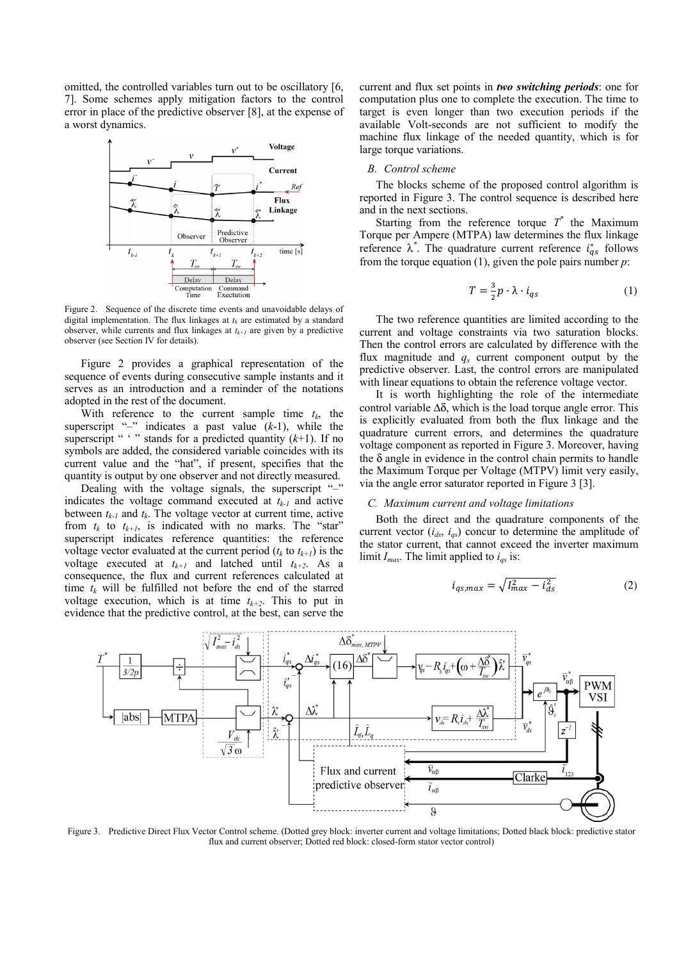omitted, the controlled variables turn out to be oscillatory [6, 7]. Some schemes apply mitigation factors to the control error in place of the predictive observer [8], at the expense of a worst dynamics.



Figure 2. Sequence of the discrete time events and unavoidable delays of digital implementation. The flux linkages at  $t_k$  are estimated by a standard observer, while currents and flux linkages at  $t_{k+1}$  are given by a predictive observer (see Section IV for details).

Figure 2 provides a graphical representation of the sequence of events during consecutive sample instants and it serves as an introduction and a reminder of the notations adopted in the rest of the document.

With reference to the current sample time  $t_k$ , the superscript "*–*" indicates a past value (*k*-1), while the superscript " '" stands for a predicted quantity  $(k+1)$ . If no symbols are added, the considered variable coincides with its current value and the "hat", if present, specifies that the quantity is output by one observer and not directly measured.

Dealing with the voltage signals, the superscript "-" indicates the voltage command executed at  $t_{k-1}$  and active between  $t_{k-1}$  and  $t_k$ . The voltage vector at current time, active from  $t_k$  to  $t_{k+1}$ , is indicated with no marks. The "star" superscript indicates reference quantities: the reference voltage vector evaluated at the current period  $(t_k \text{ to } t_{k+1})$  is the voltage executed at  $t_{k+1}$  and latched until  $t_{k+2}$ . As a consequence, the flux and current references calculated at time  $t_k$  will be fulfilled not before the end of the starred voltage execution, which is at time  $t_{k+2}$ . This to put in evidence that the predictive control, at the best, can serve the current and flux set points in *two switching periods*: one for computation plus one to complete the execution. The time to target is even longer than two execution periods if the available Volt-seconds are not sufficient to modify the machine flux linkage of the needed quantity, which is for large torque variations.

# *B. Control scheme*

The blocks scheme of the proposed control algorithm is reported in Figure 3. The control sequence is described here and in the next sections.

Starting from the reference torque  $T^*$  the Maximum Torque per Ampere (MTPA) law determines the flux linkage reference  $\lambda^*$ . The quadrature current reference  $i_{qs}^*$  follows from the torque equation (1), given the pole pairs number  $p$ :

$$
T = \frac{3}{2}p \cdot \lambda \cdot i_{qs} \tag{1}
$$

The two reference quantities are limited according to the current and voltage constraints via two saturation blocks. Then the control errors are calculated by difference with the flux magnitude and  $q_s$  current component output by the predictive observer. Last, the control errors are manipulated with linear equations to obtain the reference voltage vector.

It is worth highlighting the role of the intermediate control variable  $\Delta\delta$ , which is the load torque angle error. This is explicitly evaluated from both the flux linkage and the quadrature current errors, and determines the quadrature voltage component as reported in Figure 3. Moreover, having the δ angle in evidence in the control chain permits to handle the Maximum Torque per Voltage (MTPV) limit very easily, via the angle error saturator reported in Figure 3 [3].

#### *C. Maximum current and voltage limitations*

Both the direct and the quadrature components of the current vector (*ids*, *iqs*) concur to determine the amplitude of the stator current, that cannot exceed the inverter maximum limit  $I_{max}$ . The limit applied to  $i_{as}$  is:

$$
i_{qs,max} = \sqrt{I_{max}^2 - i_{ds}^2}
$$
 (2)



Figure 3. Predictive Direct Flux Vector Control scheme. (Dotted grey block: inverter current and voltage limitations; Dotted black block: predictive stator flux and current observer; Dotted red block: closed-form stator vector control)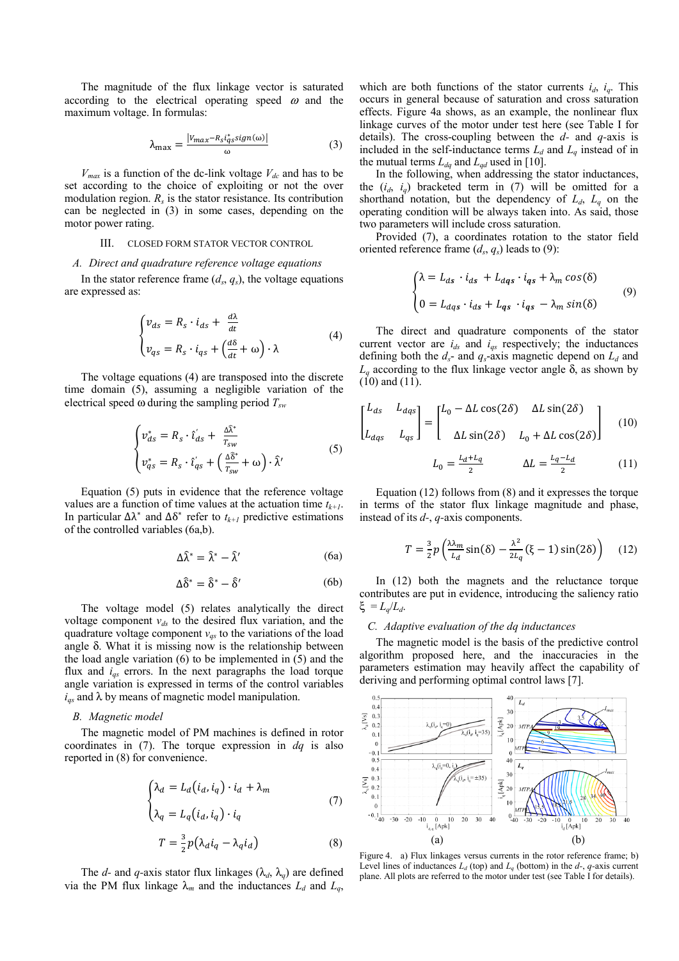The magnitude of the flux linkage vector is saturated according to the electrical operating speed  $\omega$  and the maximum voltage. In formulas:

$$
\lambda_{\text{max}} = \frac{|v_{\text{max}} - R_{\text{s}} i_{\text{q}}^* s i g n(\omega)|}{\omega} \tag{3}
$$

 $V_{max}$  is a function of the dc-link voltage  $V_{dc}$  and has to be set according to the choice of exploiting or not the over modulation region.  $R_s$  is the stator resistance. Its contribution can be neglected in (3) in some cases, depending on the motor power rating.

#### III. CLOSED FORM STATOR VECTOR CONTROL

# *A. Direct and quadrature reference voltage equations*

In the stator reference frame  $(d_s, q_s)$ , the voltage equations are expressed as:

$$
\begin{cases} v_{ds} = R_s \cdot i_{ds} + \frac{d\lambda}{dt} \\ v_{qs} = R_s \cdot i_{qs} + \left(\frac{d\delta}{dt} + \omega\right) \cdot \lambda \end{cases}
$$
 (4)

The voltage equations (4) are transposed into the discrete time domain (5), assuming a negligible variation of the electrical speed ω during the sampling period *Tsw*

$$
\begin{cases}\nv_{ds}^* = R_s \cdot \hat{\imath}_{ds}' + \frac{\Delta \hat{\lambda}^*}{T_{sw}} \\
v_{qs}^* = R_s \cdot \hat{\imath}_{qs}' + \left(\frac{\Delta \hat{\delta}^*}{T_{sw}} + \omega\right) \cdot \hat{\lambda}'\n\end{cases} \tag{5}
$$

Equation (5) puts in evidence that the reference voltage values are a function of time values at the actuation time  $t_{k+1}$ . In particular  $\Delta \lambda^*$  and  $\Delta \delta^*$  refer to  $t_{k+1}$  predictive estimations of the controlled variables (6a,b).

$$
\Delta \hat{\lambda}^* = \hat{\lambda}^* - \hat{\lambda}' \tag{6a}
$$

$$
\Delta \hat{\delta}^* = \hat{\delta}^* - \hat{\delta}' \tag{6b}
$$

The voltage model (5) relates analytically the direct voltage component  $v_{ds}$  to the desired flux variation, and the quadrature voltage component  $v_{qs}$  to the variations of the load angle  $\delta$ . What it is missing now is the relationship between the load angle variation (6) to be implemented in (5) and the flux and *iqs* errors. In the next paragraphs the load torque angle variation is expressed in terms of the control variables  $i_{qs}$  and  $\lambda$  by means of magnetic model manipulation.

#### *B. Magnetic model*

The magnetic model of PM machines is defined in rotor coordinates in (7). The torque expression in *dq* is also reported in (8) for convenience.

$$
\begin{cases} \lambda_d = L_d(i_d, i_q) \cdot i_d + \lambda_m \\ \lambda_q = L_q(i_d, i_q) \cdot i_q \end{cases}
$$
 (7)

$$
T = \frac{3}{2}p(\lambda_d i_q - \lambda_q i_d)
$$
 (8)

The *d*- and *q*-axis stator flux linkages ( $\lambda_d$ ,  $\lambda_q$ ) are defined via the PM flux linkage  $\lambda_m$  and the inductances  $L_d$  and  $L_q$ , which are both functions of the stator currents  $i_d$ ,  $i_q$ . This occurs in general because of saturation and cross saturation effects. Figure 4a shows, as an example, the nonlinear flux linkage curves of the motor under test here (see Table I for details). The cross-coupling between the *d-* and *q-*axis is included in the self-inductance terms  $L_d$  and  $L_q$  instead of in the mutual terms  $L_{dq}$  and  $L_{qd}$  used in [10].

In the following, when addressing the stator inductances, the  $(i_d, i_q)$  bracketed term in (7) will be omitted for a shorthand notation, but the dependency of  $L_d$ ,  $L_q$  on the operating condition will be always taken into. As said, those two parameters will include cross saturation.

Provided (7), a coordinates rotation to the stator field oriented reference frame  $(d_s, q_s)$  leads to (9):

$$
\begin{cases} \lambda = L_{ds} \cdot i_{ds} + L_{dqs} \cdot i_{qs} + \lambda_m \cos(\delta) \\ 0 = L_{dqs} \cdot i_{ds} + L_{qs} \cdot i_{qs} - \lambda_m \sin(\delta) \end{cases} \tag{9}
$$

The direct and quadrature components of the stator current vector are  $i_{ds}$  and  $i_{gs}$  respectively; the inductances defining both the  $d_s$ - and  $q_s$ -axis magnetic depend on  $L_d$  and  $L_q$  according to the flux linkage vector angle δ, as shown by (10) and (11).

$$
\begin{bmatrix} L_{ds} & L_{dqs} \\ L_{dqs} & L_{qs} \end{bmatrix} = \begin{bmatrix} L_0 - \Delta L \cos(2\delta) & \Delta L \sin(2\delta) \\ \Delta L \sin(2\delta) & L_0 + \Delta L \cos(2\delta) \end{bmatrix}
$$
(10)

$$
L_0 = \frac{L_d + L_q}{2} \qquad \qquad \Delta L = \frac{L_q - L_d}{2} \tag{11}
$$

Equation (12) follows from (8) and it expresses the torque in terms of the stator flux linkage magnitude and phase, instead of its *d-*, *q-*axis components.

$$
T = \frac{3}{2}p\left(\frac{\lambda\lambda_m}{L_d}\sin(\delta) - \frac{\lambda^2}{2L_q}(\xi - 1)\sin(2\delta)\right) \quad (12)
$$

In (12) both the magnets and the reluctance torque contributes are put in evidence, introducing the saliency ratio ξ = *Lq*/*Ld*.

# *C. Adaptive evaluation of the dq inductances*

The magnetic model is the basis of the predictive control algorithm proposed here, and the inaccuracies in the parameters estimation may heavily affect the capability of deriving and performing optimal control laws [7].



Figure 4. a) Flux linkages versus currents in the rotor reference frame; b) Level lines of inductances  $L_d$  (top) and  $L_q$  (bottom) in the  $d$ -,  $q$ -axis current plane. All plots are referred to the motor under test (see Table I for details).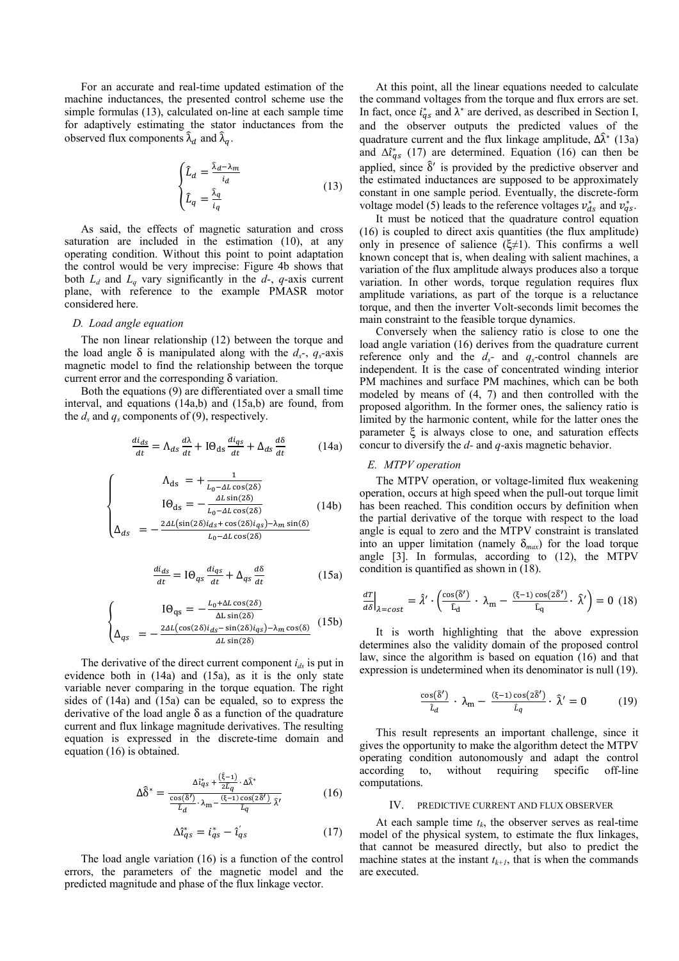For an accurate and real-time updated estimation of the machine inductances, the presented control scheme use the simple formulas (13), calculated on-line at each sample time for adaptively estimating the stator inductances from the observed flux components  $\hat{\lambda}_d$  and  $\hat{\lambda}_q$ .

$$
\begin{cases}\n\hat{L}_d = \frac{\hat{\lambda}_d - \lambda_m}{i_d} \\
\hat{L}_q = \frac{\hat{\lambda}_q}{i_q}\n\end{cases}
$$
\n(13)

As said, the effects of magnetic saturation and cross saturation are included in the estimation (10), at any operating condition. Without this point to point adaptation the control would be very imprecise: Figure 4b shows that both  $L_d$  and  $L_q$  vary significantly in the  $d$ -,  $q$ -axis current plane, with reference to the example PMASR motor considered here.

# *D. Load angle equation*

The non linear relationship (12) between the torque and the load angle  $\delta$  is manipulated along with the  $d_s$ -,  $q_s$ -axis magnetic model to find the relationship between the torque current error and the corresponding δ variation.

Both the equations (9) are differentiated over a small time interval, and equations (14a,b) and (15a,b) are found, from the  $d_s$  and  $q_s$  components of (9), respectively.

$$
\frac{di_{ds}}{dt} = \Lambda_{ds} \frac{d\lambda}{dt} + I\Theta_{ds} \frac{di_{qs}}{dt} + \Delta_{ds} \frac{d\delta}{dt}
$$
 (14a)

$$
\begin{cases}\n\Lambda_{\text{ds}} = +\frac{1}{L_0 - \Delta L \cos(2\delta)} \\
I\Theta_{\text{ds}} = -\frac{\Delta L \sin(2\delta)}{L_0 - \Delta L \cos(2\delta)} \\
\Delta_{ds} = -\frac{2\Delta L (\sin(2\delta)i_{ds} + \cos(2\delta)i_{qs}) - \lambda_m \sin(\delta)}{L_0 - \Delta L \cos(2\delta)}\n\end{cases} (14b)
$$

$$
\frac{di_{ds}}{dt} = I\Theta_{qs}\frac{di_{qs}}{dt} + \Delta_{qs}\frac{d\delta}{dt}
$$
 (15a)

$$
\begin{cases}\nI\Theta_{\text{qs}} = -\frac{L_0 + \Delta L \cos(2\delta)}{\Delta L \sin(2\delta)} \\
\Delta_{q\text{s}} = -\frac{2\Delta L (\cos(2\delta)i_{ds} - \sin(2\delta)i_{qs}) - \lambda_m \cos(\delta)}{\Delta L \sin(2\delta)}\n\end{cases} (15b)
$$

The derivative of the direct current component  $i_{ds}$  is put in evidence both in (14a) and (15a), as it is the only state variable never comparing in the torque equation. The right sides of (14a) and (15a) can be equaled, so to express the derivative of the load angle  $\delta$  as a function of the quadrature current and flux linkage magnitude derivatives. The resulting equation is expressed in the discrete-time domain and equation (16) is obtained.

$$
\Delta \hat{\delta}^* = \frac{\Delta t_{qs}^* + \frac{(\hat{\xi} - 1)}{2\bar{l}_q} \cdot \Delta \hat{\lambda}^*}{\frac{\cos(\hat{\delta}')}{\bar{l}_d} \cdot \lambda_{m} - \frac{(\xi - 1)\cos(z\hat{\delta}')}{\bar{l}_q} \cdot \hat{\lambda}'}
$$
(16)

$$
\Delta \hat{\iota}_{qs}^* = \dot{\iota}_{qs}^* - \hat{\iota}_{qs}' \tag{17}
$$

The load angle variation (16) is a function of the control errors, the parameters of the magnetic model and the predicted magnitude and phase of the flux linkage vector.

At this point, all the linear equations needed to calculate the command voltages from the torque and flux errors are set. In fact, once  $i_{qs}^*$  and  $\lambda^*$  are derived, as described in Section I, and the observer outputs the predicted values of the quadrature current and the flux linkage amplitude,  $\Delta \hat{\lambda}^*$  (13a) and  $\Delta t_{qs}^*$  (17) are determined. Equation (16) can then be applied, since  $\hat{\delta}'$  is provided by the predictive observer and the estimated inductances are supposed to be approximately constant in one sample period. Eventually, the discrete-form voltage model (5) leads to the reference voltages  $v_{ds}^*$  and  $v_{qs}^*$ .

It must be noticed that the quadrature control equation (16) is coupled to direct axis quantities (the flux amplitude) only in presence of salience  $(\xi \neq 1)$ . This confirms a well known concept that is, when dealing with salient machines, a variation of the flux amplitude always produces also a torque variation. In other words, torque regulation requires flux amplitude variations, as part of the torque is a reluctance torque, and then the inverter Volt-seconds limit becomes the main constraint to the feasible torque dynamics.

Conversely when the saliency ratio is close to one the load angle variation (16) derives from the quadrature current reference only and the  $d_s$ - and  $q_s$ -control channels are independent. It is the case of concentrated winding interior PM machines and surface PM machines, which can be both modeled by means of (4, 7) and then controlled with the proposed algorithm. In the former ones, the saliency ratio is limited by the harmonic content, while for the latter ones the parameter ξ is always close to one, and saturation effects concur to diversify the *d-* and *q-*axis magnetic behavior.

# *E. MTPV operation*

The MTPV operation, or voltage-limited flux weakening operation, occurs at high speed when the pull-out torque limit has been reached. This condition occurs by definition when the partial derivative of the torque with respect to the load angle is equal to zero and the MTPV constraint is translated into an upper limitation (namely  $\delta_{max}$ ) for the load torque angle [3]. In formulas, according to (12), the MTPV condition is quantified as shown in (18).

$$
\left. \frac{d\mathcal{I}}{d\delta} \right|_{\lambda = \text{cost}} = \hat{\lambda}' \cdot \left( \frac{\cos(\hat{\delta}')}{\hat{\mathcal{L}}_d} \cdot \lambda_m - \frac{(\xi - 1)\cos(2\hat{\delta}')}{\hat{\mathcal{L}}_q} \cdot \hat{\lambda}' \right) = 0 \tag{18}
$$

It is worth highlighting that the above expression determines also the validity domain of the proposed control law, since the algorithm is based on equation (16) and that expression is undetermined when its denominator is null (19).

$$
\frac{\cos(\hat{\delta}')}{\hat{\iota}_d} \cdot \lambda_m - \frac{(\xi - 1)\cos(2\hat{\delta}')}{\hat{\iota}_q} \cdot \hat{\lambda}' = 0 \tag{19}
$$

This result represents an important challenge, since it gives the opportunity to make the algorithm detect the MTPV operating condition autonomously and adapt the control according to, without requiring specific off-line computations.

# IV. PREDICTIVE CURRENT AND FLUX OBSERVER

At each sample time  $t_k$ , the observer serves as real-time model of the physical system, to estimate the flux linkages, that cannot be measured directly, but also to predict the machine states at the instant  $t_{k+1}$ , that is when the commands are executed.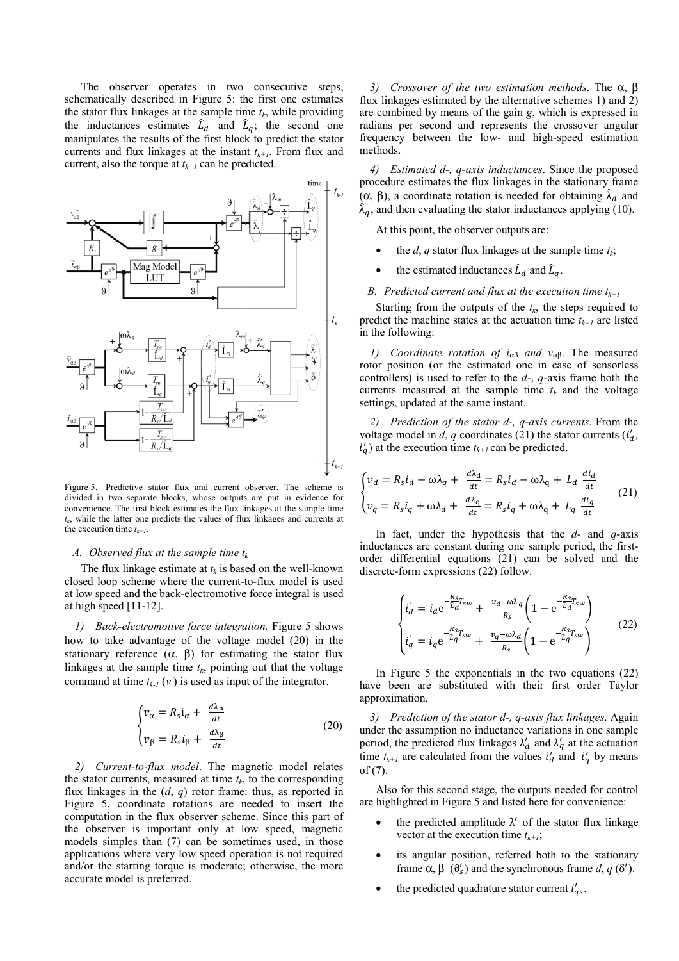The observer operates in two consecutive steps, schematically described in Figure 5: the first one estimates the stator flux linkages at the sample time  $t_k$ , while providing the inductances estimates  $\hat{L}_d$  and  $\hat{L}_q$ ; the second one manipulates the results of the first block k to predict the stator currents and flux linkages at the instant  $t_{k+1}$ . From flux and current, also the torque at  $t_{k+1}$  can be predicted.



Figure 5. Predictive stator flux and current observer. The scheme is divided in two separate blocks, whose outputs s are put in evidence for convenience. The first block estimates the flux li inkages at the sample time  $t_k$ , while the latter one predicts the values of flux linkages and currents at the execution time  $t_{k+1}$ .

# A. Observed flux at the sample time t<sub>k</sub>

The flux linkage estimate at  $t_k$  is based on the well-known closed loop scheme where the current-to-flux model is used at low speed and the back-electromotive force integral is used at high speed [11-12].

*1) Back-electromotive force integration*. Figure 5 shows how to take advantage of the voltage model (20) in the stationary reference  $(\alpha, \beta)$  for estimating the stator flux linkages at the sample time  $t_k$ , pointing out that the voltage command at time  $t_{k-1}(v)$  is used as input of the integrator.

$$
\begin{cases} \n v_{\alpha} = R_s i_{\alpha} + \frac{d\lambda_{\alpha}}{dt} \\ \n v_{\beta} = R_s i_{\beta} + \frac{d\lambda_{\beta}}{dt} \n\end{cases} \tag{20}
$$

*2) Current-to-flux model*. The ma gnetic model relates the stator currents, measured at time  $t_k$ , to the corresponding flux linkages in the  $(d, q)$  rotor frame: thus, as reported in Figure 5, coordinate rotations are needed to insert the computation in the flux observer scheme. Since this part of the observer is important only at low speed, magnetic models simples than (7) can be sometimes used, in those applications where very low speed operation is not required and/or the starting torque is moderate; otherwise, the more accurate model is preferred.

*3) Crossover of the two o estimation methods*. The α, β flux linkages estimated by the alternative schemes 1) and 2) are combined by means of the gain *g*, which is expressed in radians per second and represents the crossover angular frequency between the low- and high-speed estimation methods.

*4) Estimated d-, q-axis i inductances*. Since the proposed procedure estimates the flux linkages in the stationary frame (α, β), a coordinate rotation is needed for obtaining  $\hat{\lambda}_d$  and  $\hat{\lambda}_q$ , and then evaluating the stator inductances applying (10).

At this point, the observer outputs are:

- the *d*, *q* stator flux linkages at the sample time  $t_k$ ;
- the estimated inductances  $\hat{L}_d$  and  $\hat{L}_q$ .

# B. Predicted current and flux at the execution time  $t_{k+1}$

Starting from the outputs of the  $t_k$ , the steps required to predict the machine states at the actuation time  $t_{k+1}$  are listed in the following:

*1) Coordinate rotation of i*αβ *and v*αβ. The measured rotor position (or the estimated one in case of sensorless controllers) is used to refer to the *d-*, *q-*axis frame both the currents measured at the sample time  $t_k$  and the voltage settings, updated at the same instant.

2) *Prediction of the stator d-, q-axis currents*. From the voltage model in  $\tilde{d}$ ,  $q$  coordinates (21) the stator currents ( $i_d$ ,  $i_q$ ) at the execution time  $t_{k+1}$  can be predicted.

$$
\begin{cases}\nv_d = R_s i_d - \omega \lambda_q + \frac{d\lambda_d}{dt} = R_s i_d - \omega \lambda_q + L_d \frac{di_d}{dt} \\
v_q = R_s i_q + \omega \lambda_d + \frac{d\lambda_q}{dt} = R_s i_q + \omega \lambda_q + L_q \frac{di_q}{dt}\n\end{cases} (21)
$$

In fact, under the hypothesis that the  $d$ - and  $q$ -axis inductances are constant during one sample period, the firstorder differential equations (21) can be solved and the discrete-form expressions (22) follow.

$$
\begin{cases}\ni_d' = i_d e^{-\frac{R_S}{\tilde{L}_d} r_{sw}} + \frac{v_d + \omega \lambda_q}{R_S} \left(1 - e^{-\frac{R_S}{\tilde{L}_d} r_{sw}}\right) \\
i_q' = i_q e^{-\frac{R_S}{\tilde{L}_q} r_{sw}} + \frac{v_q - \omega \lambda_d}{R_S} \left(1 - e^{-\frac{R_S}{\tilde{L}_q} r_{sw}}\right)\n\end{cases} \tag{22}
$$

In Figure 5 the exponentials in the two equations  $(22)$ have been are substituted with their first order Taylor approximation.

3) Prediction of the stator d-, q-axis flux linkages. Again under the assumption no inductance variations in one sample period, the predicted flux linkages  $\lambda'_d$  and  $\lambda'_q$  at the actuation time  $t_{k+1}$  are calculated from the values  $i'_d$  and  $i'_q$  by means of (7).

Also for this second stage, the outputs needed for control are highlighted in Figure 5 and listed here for convenience:

- the predicted amplitude  $\lambda'$  of the stator flux linkage vector at the execution time  $t_{k+1}$ ;
- its angular position, referred both to the stationary frame  $\alpha$ ,  $\beta$  ( $\theta'_{s}$ ) and the synchronous frame *d*, *q* ( $\delta'$ ).
- the predicted quadrature stator current  $i'_{qs}$ .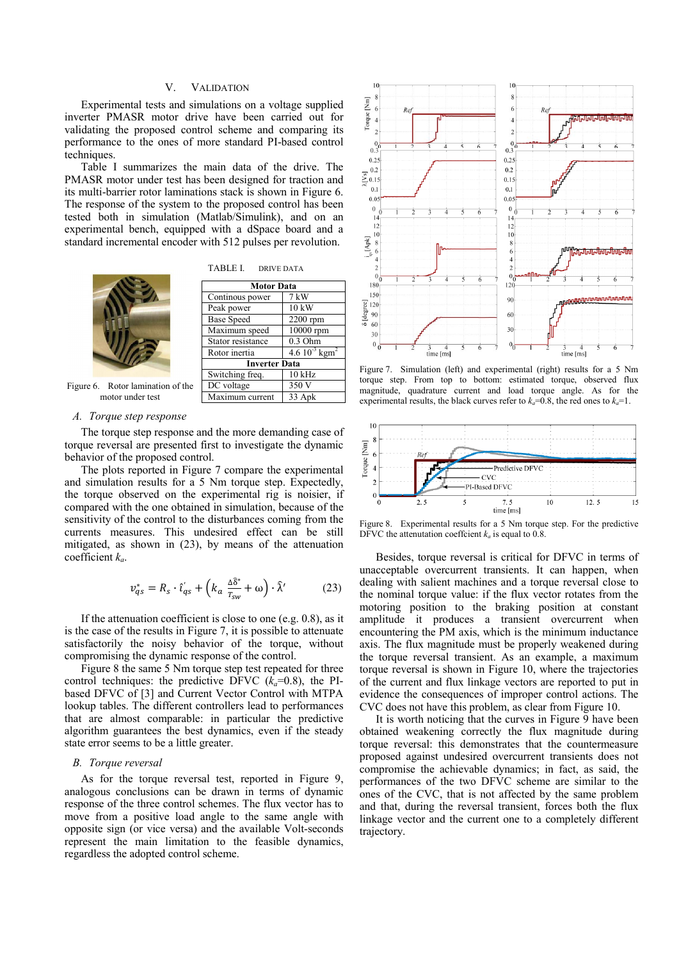# V. VALIDATION

Experimental tests and simulations on a voltage supplied inverter PMASR motor drive have been carried out for validating the proposed control scheme and comparing its performance to the ones of more standard PI-based control techniques.

Table I summarizes the main data of the drive. The PMASR motor under test has been designed for traction and its multi-barrier rotor laminations stack is shown in Figure 6. The response of the system to the proposed control has been tested both in simulation (Matlab/Simulink), and on an experimental bench, equipped with a dSpace board and a standard incremental encoder with 512 pulses per revolution.

TABLE I. DRIVE DATA



| <b>Motor Data</b>    |                                |
|----------------------|--------------------------------|
| Continous power      | $7 \text{ kW}$                 |
| Peak power           | 10 kW                          |
| <b>Base Speed</b>    | $2200$ rpm                     |
| Maximum speed        | $\overline{10000}$ rpm         |
| Stator resistance    | $0.3$ Ohm                      |
| Rotor inertia        | 4.6 $10^{-3}$ kgm <sup>2</sup> |
| <b>Inverter Data</b> |                                |
| Switching freq.      | $10$ kHz                       |
| DC voltage           | 350 V                          |
| Maximum current      | 33 Apk                         |

Figure 6. Rotor lamination of the motor under test

#### *A. Torque step response*

The torque step response and the more demanding case of torque reversal are presented first to investigate the dynamic behavior of the proposed control.

The plots reported in Figure 7 compare the experimental and simulation results for a 5 Nm torque step. Expectedly, the torque observed on the experimental rig is noisier, if compared with the one obtained in simulation, because of the sensitivity of the control to the disturbances coming from the currents measures. This undesired effect can be still mitigated, as shown in (23), by means of the attenuation coefficient *ka*.

$$
v_{qs}^{*} = R_{s} \cdot \hat{\iota}_{qs}^{'} + \left(k_{a} \frac{\Delta \hat{\delta}^{*}}{T_{sw}} + \omega\right) \cdot \hat{\lambda}^{\prime}
$$
 (23)

If the attenuation coefficient is close to one (e.g. 0.8), as it is the case of the results in Figure 7, it is possible to attenuate satisfactorily the noisy behavior of the torque, without compromising the dynamic response of the control.

Figure 8 the same 5 Nm torque step test repeated for three control techniques: the predictive DFVC  $(k_a=0.8)$ , the PIbased DFVC of [3] and Current Vector Control with MTPA lookup tables. The different controllers lead to performances that are almost comparable: in particular the predictive algorithm guarantees the best dynamics, even if the steady state error seems to be a little greater.

# *B. Torque reversal*

As for the torque reversal test, reported in Figure 9, analogous conclusions can be drawn in terms of dynamic response of the three control schemes. The flux vector has to move from a positive load angle to the same angle with opposite sign (or vice versa) and the available Volt-seconds represent the main limitation to the feasible dynamics, regardless the adopted control scheme.



Figure 7. Simulation (left) and experimental (right) results for a 5 Nm torque step. From top to bottom: estimated torque, observed flux magnitude, quadrature current and load torque angle. As for the experimental results, the black curves refer to  $k_a=0.8$ , the red ones to  $k_a=1$ .



Figure 8. Experimental results for a 5 Nm torque step. For the predictive DFVC the attenutation coeffcient  $k_a$  is equal to 0.8.

Besides, torque reversal is critical for DFVC in terms of unacceptable overcurrent transients. It can happen, when dealing with salient machines and a torque reversal close to the nominal torque value: if the flux vector rotates from the motoring position to the braking position at constant amplitude it produces a transient overcurrent when encountering the PM axis, which is the minimum inductance axis. The flux magnitude must be properly weakened during the torque reversal transient. As an example, a maximum torque reversal is shown in Figure 10, where the trajectories of the current and flux linkage vectors are reported to put in evidence the consequences of improper control actions. The CVC does not have this problem, as clear from Figure 10.

It is worth noticing that the curves in Figure 9 have been obtained weakening correctly the flux magnitude during torque reversal: this demonstrates that the countermeasure proposed against undesired overcurrent transients does not compromise the achievable dynamics; in fact, as said, the performances of the two DFVC scheme are similar to the ones of the CVC, that is not affected by the same problem and that, during the reversal transient, forces both the flux linkage vector and the current one to a completely different trajectory.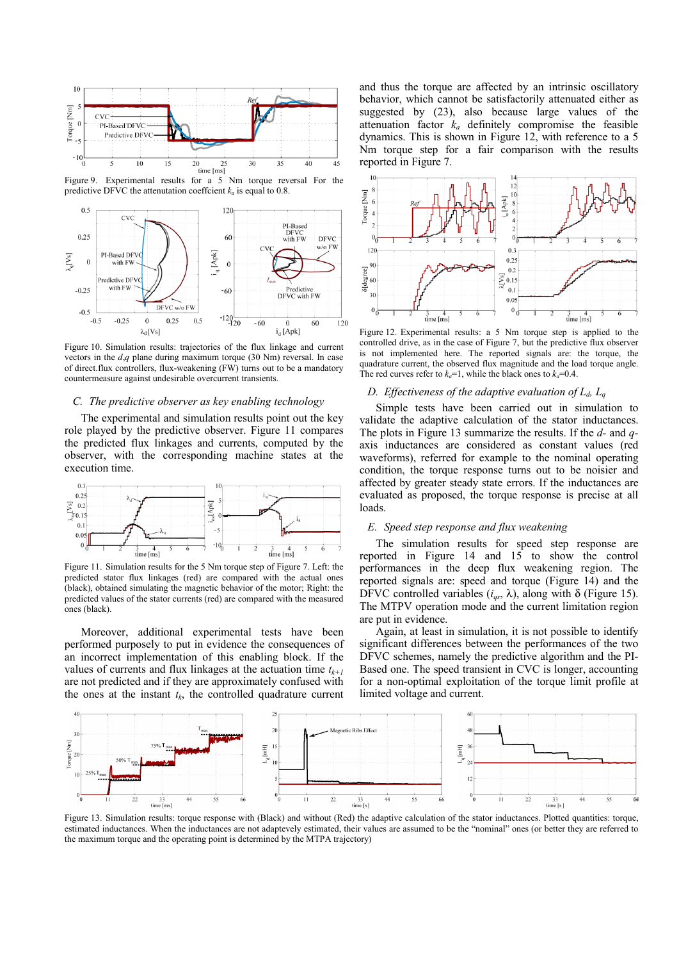

Figure 9. Experimental results for  $a \overline{5}$  Nm torque reversal For the predictive DFVC the attenutation coeffcient  $k_a$  is equal to 0.8.



Figure 10. Simulation results: trajectories of the flux linkage and current vectors in the *d*,*q* plane during maximum torque (30 Nm) reversal. In case of direct.flux controllers, flux-weakening (FW) turns out to be a mandatory countermeasure against undesirable overcurrent transients.

#### *C. The predictive observer as key enabling technology*

The experimental and simulation results point out the key role played by the predictive observer. Figure 11 compares the predicted flux linkages and currents, computed by the observer, with the corresponding machine states at the execution time.



Figure 11. Simulation results for the 5 Nm torque step of Figure 7. Left: the predicted stator flux linkages (red) are compared with the actual ones (black), obtained simulating the magnetic behavior of the motor; Right: the predicted values of the stator currents (red) are compared with the measured ones (black).

Moreover, additional experimental tests have been performed purposely to put in evidence the consequences of an incorrect implementation of this enabling block. If the values of currents and flux linkages at the actuation time  $t_{k+1}$ are not predicted and if they are approximately confused with the ones at the instant  $t_k$ , the controlled quadrature current

and thus the torque are affected by an intrinsic oscillatory behavior, which cannot be satisfactorily attenuated either as suggested by (23), also because large values of the attenuation factor  $k_a$  definitely compromise the feasible dynamics. This is shown in Figure 12, with reference to a 5 Nm torque step for a fair comparison with the results reported in Figure 7.



Figure 12. Experimental results: a 5 Nm torque step is applied to the controlled drive, as in the case of Figure 7, but the predictive flux observer is not implemented here. The reported signals are: the torque, the quadrature current, the observed flux magnitude and the load torque angle. The red curves refer to  $k_a=1$ , while the black ones to  $k_a=0.4$ .

# *D. Effectiveness of the adaptive evaluation of*  $L_d$ ,  $L_q$

Simple tests have been carried out in simulation to validate the adaptive calculation of the stator inductances. The plots in Figure 13 summarize the results. If the *d-* and *q*axis inductances are considered as constant values (red waveforms), referred for example to the nominal operating condition, the torque response turns out to be noisier and affected by greater steady state errors. If the inductances are evaluated as proposed, the torque response is precise at all loads.

#### *E. Speed step response and flux weakening*

The simulation results for speed step response are reported in Figure 14 and  $15$  to show the control performances in the deep flux weakening region. The reported signals are: speed and torque (Figure 14) and the DFVC controlled variables  $(i_{qs}, \lambda)$ , along with  $\delta$  (Figure 15). The MTPV operation mode and the current limitation region are put in evidence.

Again, at least in simulation, it is not possible to identify significant differences between the performances of the two DFVC schemes, namely the predictive algorithm and the PI-Based one. The speed transient in CVC is longer, accounting for a non-optimal exploitation of the torque limit profile at limited voltage and current.



Figure 13. Simulation results: torque response with (Black) and without (Red) the adaptive calculation of the stator inductances. Plotted quantities: torque, estimated inductances. When the inductances are not adaptevely estimated, their values are assumed to be the "nominal" ones (or better they are referred to the maximum torque and the operating point is determined by the MTPA trajectory)